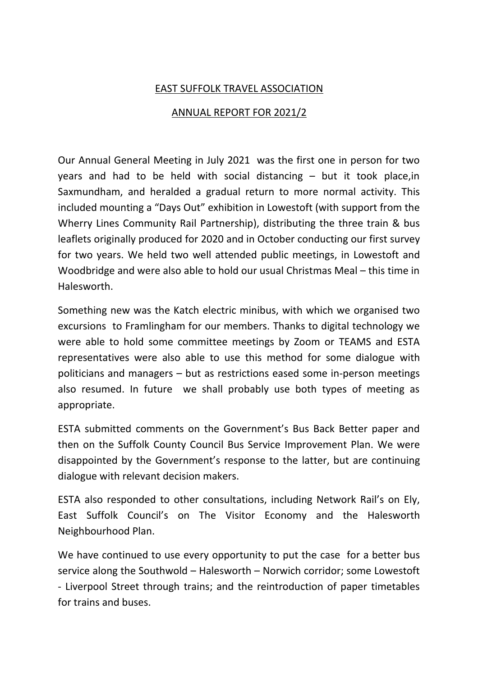## EAST SUFFOLK TRAVEL ASSOCIATION

## ANNUAL REPORT FOR 2021/2

Our Annual General Meeting in July 2021 was the first one in person for two years and had to be held with social distancing – but it took place,in Saxmundham, and heralded a gradual return to more normal activity. This included mounting a "Days Out" exhibition in Lowestoft (with support from the Wherry Lines Community Rail Partnership), distributing the three train & bus leaflets originally produced for 2020 and in October conducting our first survey for two years. We held two well attended public meetings, in Lowestoft and Woodbridge and were also able to hold our usual Christmas Meal – this time in Halesworth.

Something new was the Katch electric minibus, with which we organised two excursions to Framlingham for our members. Thanks to digital technology we were able to hold some committee meetings by Zoom or TEAMS and ESTA representatives were also able to use this method for some dialogue with politicians and managers – but as restrictions eased some in-person meetings also resumed. In future we shall probably use both types of meeting as appropriate.

ESTA submitted comments on the Government's Bus Back Better paper and then on the Suffolk County Council Bus Service Improvement Plan. We were disappointed by the Government's response to the latter, but are continuing dialogue with relevant decision makers.

ESTA also responded to other consultations, including Network Rail's on Ely, East Suffolk Council's on The Visitor Economy and the Halesworth Neighbourhood Plan.

We have continued to use every opportunity to put the case for a better bus service along the Southwold – Halesworth – Norwich corridor; some Lowestoft - Liverpool Street through trains; and the reintroduction of paper timetables for trains and buses.